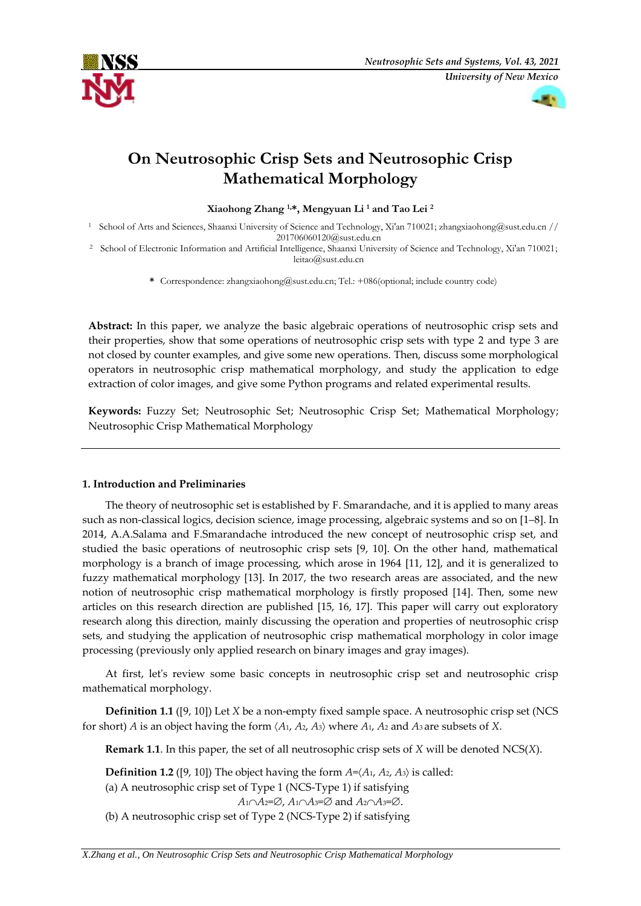



# **On Neutrosophic Crisp Sets and Neutrosophic Crisp Mathematical Morphology**

**Xiaohong Zhang 1,\*, Mengyuan Li <sup>1</sup> and Tao Lei <sup>2</sup>**

<sup>1</sup> School of Arts and Sciences, Shaanxi University of Science and Technology, Xi'an 710021; zhangxiaohong@sust.edu.cn // 201706060120@sust.edu.cn

<sup>2</sup> School of Electronic Information and Artificial Intelligence, Shaanxi University of Science and Technology, Xi'an 710021; leitao@sust.edu.cn

**\*** Correspondence: zhangxiaohong@sust.edu.cn; Tel.: +086(optional; include country code)

**Abstract:** In this paper, we analyze the basic algebraic operations of neutrosophic crisp sets and their properties, show that some operations of neutrosophic crisp sets with type 2 and type 3 are not closed by counter examples, and give some new operations. Then, discuss some morphological operators in neutrosophic crisp mathematical morphology, and study the application to edge extraction of color images, and give some Python programs and related experimental results.

**Keywords:** Fuzzy Set; Neutrosophic Set; Neutrosophic Crisp Set; Mathematical Morphology; Neutrosophic Crisp Mathematical Morphology

# **1. Introduction and Preliminaries**

The theory of neutrosophic set is established by F. Smarandache, and it is applied to many areas such as non-classical logics, decision science, image processing, algebraic systems and so on [1–8]. In 2014, A.A.Salama and F.Smarandache introduced the new concept of neutrosophic crisp set, and studied the basic operations of neutrosophic crisp sets [9, 10]. On the other hand, mathematical morphology is a branch of image processing, which arose in 1964 [11, 12], and it is generalized to fuzzy mathematical morphology [13]. In 2017, the two research areas are associated, and the new notion of neutrosophic crisp mathematical morphology is firstly proposed [14]. Then, some new articles on this research direction are published [15, 16, 17]. This paper will carry out exploratory research along this direction, mainly discussing the operation and properties of neutrosophic crisp sets, and studying the application of neutrosophic crisp mathematical morphology in color image processing (previously only applied research on binary images and gray images).

At first, let's review some basic concepts in neutrosophic crisp set and neutrosophic crisp mathematical morphology.

**Definition 1.1** ([9, 10]) Let *X* be a non-empty fixed sample space. A neutrosophic crisp set (NCS for short) *A* is an object having the form *A*1, *A*2, *A*3 where *A*1, *A*<sup>2</sup> and *A*<sup>3</sup> are subsets of *X*.

**Remark 1.1**. In this paper, the set of all neutrosophic crisp sets of *X* will be denoted NCS(*X*).

**Definition 1.2** ([9, 10]) The object having the form  $A = \langle A_1, A_2, A_3 \rangle$  is called:

(a) A neutrosophic crisp set of Type 1 (NCS‐Type 1) if satisfying

 $A_1 \cap A_2 = \emptyset$ ,  $A_1 \cap A_3 = \emptyset$  and  $A_2 \cap A_3 = \emptyset$ .

(b) A neutrosophic crisp set of Type 2 (NCS‐Type 2) if satisfying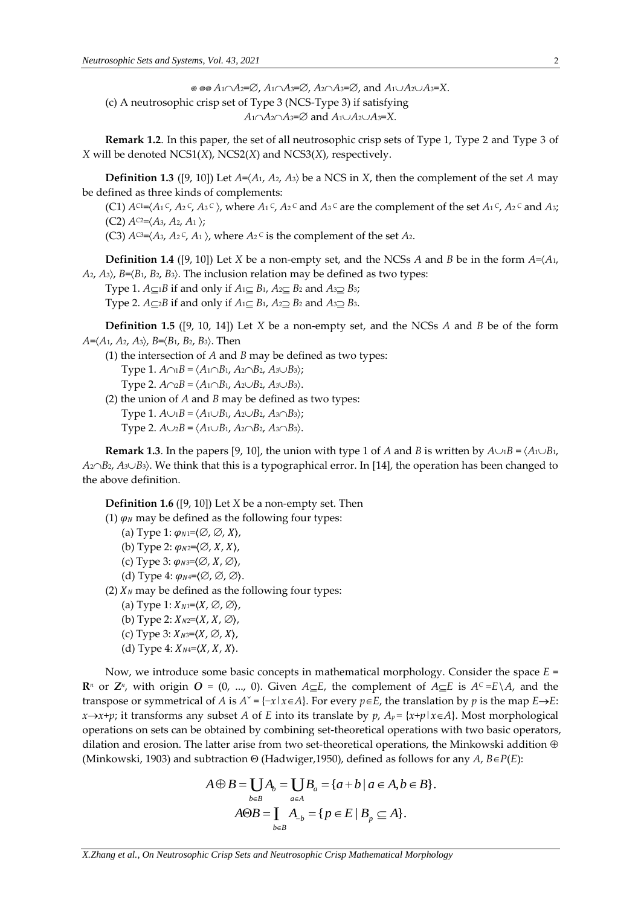$\otimes$   $\otimes$  *A*<sub>1</sub> $\cap$ *A*<sub>2</sub>= $\varnothing$ *, A*<sub>1</sub> $\cap$ *A*<sub>3</sub>= $\varnothing$ *, A*<sub>2</sub> $\cap$ *A*<sub>3</sub>= $X$ . (c) A neutrosophic crisp set of Type 3 (NCS‐Type 3) if satisfying  $A_1 \cap A_2 \cap A_3 = \emptyset$  and  $A_1 \cup A_2 \cup A_3 = X$ .

**Remark 1.2**. In this paper, the set of all neutrosophic crisp sets of Type 1, Type 2 and Type 3 of *X* will be denoted NCS1(*X*), NCS2(*X*) and NCS3(*X*), respectively.

**Definition 1.3** ([9, 10]) Let  $A = \langle A_1, A_2, A_3 \rangle$  be a NCS in *X*, then the complement of the set *A* may be defined as three kinds of complements:

(C1)  $A^{c_1} = \langle A_1^c, A_2^c, A_3^c \rangle$ , where  $A_1^c, A_2^c$  and  $A_3^c$  are the complement of the set  $A_1^c, A_2^c$  and  $A_3^c$  $(C2) A^{C2} = \langle A_3, A_2, A_1 \rangle$ ;

(C3)  $A^{C3} = \langle A_3, A_2 \,^C, A_1 \rangle$ , where  $A_2 \,^C$  is the complement of the set  $A_2$ .

**Definition 1.4** ([9, 10]) Let *X* be a non-empty set, and the NCSs *A* and *B* be in the form *A*=*A*1,  $A_2$ ,  $A_3$ ,  $B = \langle B_1, B_2, B_3 \rangle$ . The inclusion relation may be defined as two types:

Type 1.  $A \subseteq B$  if and only if  $A \subseteq B_1$ ,  $A_2 \subseteq B_2$  and  $A_3 \supseteq B_3$ ;

Type 2.  $A \subseteq B$  if and only if  $A \subseteq B_1$ ,  $A_2 \subseteq B_2$  and  $A_3 \subseteq B_3$ .

**Definition 1.5** ([9, 10, 14]) Let *X* be a non-empty set, and the NCSs *A* and *B* be of the form *A*=*A*1, *A*2, *A*3, *B*=*B*1, *B*2, *B*3. Then

- (1) the intersection of *A* and *B* may be defined as two types: Type 1.  $A \cap B = \langle A \cap B_1, A_2 \cap B_2, A_3 \cup B_3 \rangle$ ; Type 2.  $A \cap B = \langle A \cap B_1, A_2 \cup B_2, A_3 \cup B_3 \rangle$ .
- (2) the union of *A* and *B* may be defined as two types: Type 1.  $A \cup B = \langle A_1 \cup B_1, A_2 \cup B_2, A_3 \cap B_3 \rangle$ ; Type 2.  $A \cup_2 B = \langle A_1 \cup B_1, A_2 \cap B_2, A_3 \cap B_3 \rangle$ .

**Remark 1.3**. In the papers [9, 10], the union with type 1 of *A* and *B* is written by  $A \cup B = \langle A \cup B_1, A_2 \rangle$ *A*<sub>2</sub>∩*B*<sub>2</sub>, *A*<sub>3</sub>∪*B*<sub>3</sub>). We think that this is a typographical error. In [14], the operation has been changed to the above definition.

**Definition 1.6** ([9, 10]) Let *X* be a non-empty set. Then

- (1)  $\varphi$ <sub>N</sub> may be defined as the following four types:
	- (a) Type 1:  $\varphi_{N1}=\langle\varnothing,\varnothing,X\rangle$ ,
	- (b) Type 2:  $\varphi_{N2}=\langle\varnothing,X,X\rangle$ ,
	- (c) Type 3:  $\varphi_{N3} = \langle \varnothing, X, \varnothing \rangle$ ,
	- (d) Type 4:  $\varphi_{N4}=(\emptyset, \emptyset, \emptyset)$ .
- (2)  $X_N$  may be defined as the following four types:
	- (a) Type 1:  $X_{N1}=\langle X, \emptyset, \emptyset \rangle$ ,
	- (b) Type 2:  $X_{N2}=(X, X, \emptyset)$ ,
	- (c) Type 3:  $X_{N3}=\langle X, \emptyset, X \rangle$ ,
	- (d) Type 4:  $X_{N4}=(X, X, X)$ .

Now, we introduce some basic concepts in mathematical morphology. Consider the space *E* = **R**<sub>*n*</sub> or  $\mathbb{Z}^n$ , with origin  $O = (0, ..., 0)$ . Given  $A \subseteq E$ , the complement of  $A \subseteq E$  is  $A^c = E \setminus A$ , and the transpose or symmetrical of *A* is  $A^{\times} = \{-x | x \in A\}$ . For every  $p \in E$ , the translation by *p* is the map  $E \rightarrow E$ : *x* $\rightarrow$ *x* $\rightarrow$ *y*; it transforms any subset *A* of *E* into its translate by *p*,  $A_p = \{x + p | x \in A\}$ . Most morphological operations on sets can be obtained by combining set-theoretical operations with two basic operators, dilation and erosion. The latter arise from two set-theoretical operations, the Minkowski addition  $\oplus$ (Minkowski, 1903) and subtraction  $\Theta$  (Hadwiger,1950), defined as follows for any *A*,  $B \in P(E)$ :<br>  $A \oplus B = \bigcup A_b = \bigcup B_a = \{a + b \mid a \in A, b \in B\}.$ 

latter arise from two set-theoretical operations, the  
brraction 
$$
\Theta
$$
 (Hadwiger,1950), defined as follows for  

$$
A \oplus B = \bigcup_{b \in B} A_b = \bigcup_{a \in A} B_a = \{a + b \mid a \in A, b \in B\}.
$$

$$
A \Theta B = \bigcup_{b \in B} A_{-b} = \{p \in E \mid B_p \subseteq A\}.
$$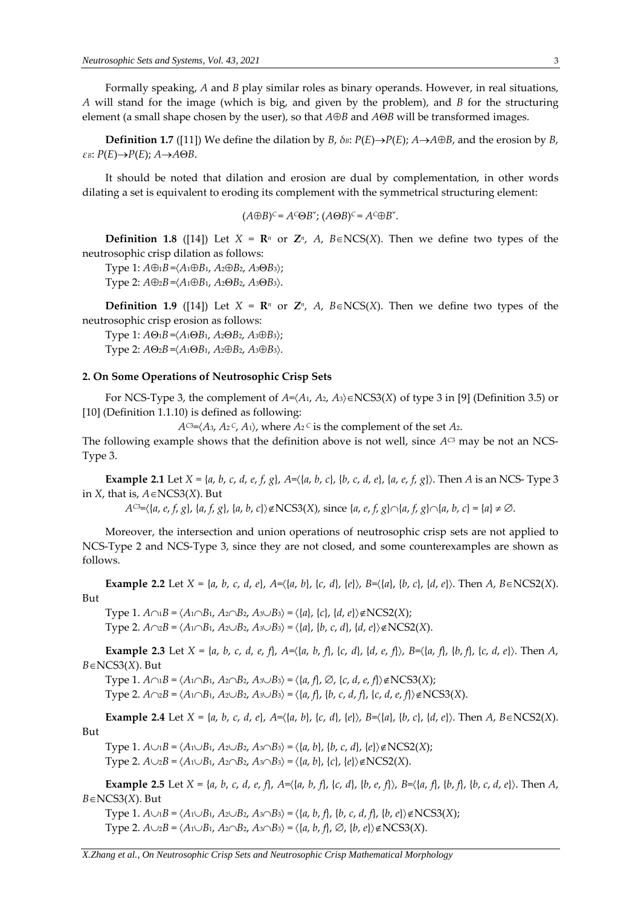Formally speaking, *A* and *B* play similar roles as binary operands. However, in real situations, *A* will stand for the image (which is big, and given by the problem), and *B* for the structuring element (a small shape chosen by the user), so that  $A \oplus B$  and  $A \oplus B$  will be transformed images.

**Definition 1.7** ([11]) We define the dilation by *B*,  $\delta$ *B*:  $P(E) \rightarrow P(E)$ ;  $A \rightarrow A \oplus B$ , and the erosion by *B*, *εB*:  $P(E) \rightarrow P(E)$ ; *A* $\rightarrow$ *A* $\Theta$ *B*.

It should be noted that dilation and erosion are dual by complementation, in other words dilating a set is equivalent to eroding its complement with the symmetrical structuring element:

 $(A \oplus B)^c = A^c \oplus B^c$ ;  $(A \oplus B)^c = A^c \oplus B^c$ .

**Definition 1.8** ([14]) Let  $X = \mathbb{R}^n$  or  $\mathbb{Z}^n$ , A,  $B \in NCS(X)$ . Then we define two types of the neutrosophic crisp dilation as follows:

Type 1:  $A \oplus B = \langle A_1 \oplus B_1, A_2 \oplus B_2, A_3 \oplus B_3 \rangle;$ Type 2:  $A \oplus_{2} B = \langle A_1 \oplus B_1, A_2 \oplus B_2, A_3 \oplus B_3 \rangle$ .

**Definition 1.9** ([14]) Let  $X = \mathbb{R}^n$  or  $\mathbb{Z}^n$ , A,  $B \in NCS(X)$ . Then we define two types of the neutrosophic crisp erosion as follows:

Type 1:  $A\Theta_1B = \langle A_1 \Theta B_1, A_2 \Theta B_2, A_3 \Theta B_3 \rangle$ ; Type 2: *A*<sup>0</sup>2*B* =  $\langle A_1 \Theta B_1, A_2 \Theta B_2, A_3 \Theta B_3 \rangle$ .

#### **2. On Some Operations of Neutrosophic Crisp Sets**

For NCS-Type 3, the complement of  $A = \langle A_1, A_2, A_3 \rangle \in NCS3(X)$  of type 3 in [9] (Definition 3.5) or [10] (Definition 1.1.10) is defined as following:

 $A^{C3} = \langle A_3, A_2 \,^C, A_1 \rangle$ , where  $A_2 \,^C$  is the complement of the set  $A_2$ .

The following example shows that the definition above is not well, since  $A^{c3}$  may be not an NCS-Type 3.

**Example 2.1** Let  $X = \{a, b, c, d, e, f, g\}$ ,  $A = \{\{a, b, c\}, \{b, c, d, e\}, \{a, e, f, g\}\}$ . Then A is an NCS-Type 3 in *X*, that is,  $A \in NCS3(X)$ . But

 $A^{C3}=\langle \{a, e, f, g\}, \{a, f, g\}, \{a, b, c\} \rangle \notin \text{NCS3}(X)$ , since  $\{a, e, f, g\} \cap \{a, f, g\} \cap \{a, b, c\} = \{a\} \neq \emptyset$ .

Moreover, the intersection and union operations of neutrosophic crisp sets are not applied to NCS-Type 2 and NCS-Type 3, since they are not closed, and some counterexamples are shown as follows.

**Example 2.2** Let  $X = \{a, b, c, d, e\}$ ,  $A = \{(a, b), \{c, d\}, \{e\}\}$ ,  $B = \{(a), \{b, c\}, \{d, e\}\}$ . Then  $A$ ,  $B \in NCS2(X)$ . But

Type 1.  $A \cap B = \langle A \cap B_1, A_2 \cap B_2, A_3 \cup B_3 \rangle = \langle \{a\}, \{c\}, \{d, e\} \rangle \notin \mathbb{N}CS2(X);$ Type 2.  $A \cap 2B = \langle A \cap B_1, A_2 \cup B_2, A_3 \cup B_3 \rangle = \langle \{a\}, \{b, c, d\}, \{d, e\} \rangle \notin \text{NCS2}(X)$ .

**Example 2.3** Let  $X = \{a, b, c, d, e, f\}$ ,  $A = \{\{a, b, f\}$ ,  $\{c, d\}$ ,  $\{d, e, f\}$ ,  $B = \{\{a, f\}$ ,  $\{b, f\}$ ,  $\{c, d, e\}$ ). Then A,  $B \in NCS3(X)$ . But

Type 1.  $A \cap B = \langle A \cap B_1, A_2 \cap B_2, A_3 \cup B_3 \rangle = \langle \{a, f\}, \emptyset, \{c, d, e, f\} \rangle \notin \mathbb{N}CS3(X);$ 

 $Type 2$ ,  $A \cap 2B = \langle A_1 \cap B_1, A_2 \cup B_2, A_3 \cup B_3 \rangle = \langle \{a, f\}, \{b, c, d, f\}, \{c, d, e, f\} \rangle \notin \mathbb{N}CS3(X).$ 

**Example 2.4** Let  $X = \{a, b, c, d, e\}$ ,  $A = \{\{a, b\}, \{c, d\}, \{e\}\}$ ,  $B = \{\{a\}, \{b, c\}, \{d, e\}\}$ . Then A,  $B \in NCS2(X)$ . But

Type 1.  $A \cup B = \langle A_1 \cup B_1, A_2 \cup B_2, A_3 \cap B_3 \rangle = \langle \{a, b\}, \{b, c, d\}, \{e\} \rangle \notin \mathbb{N}CS2(X);$ Type 2.  $A \cup_2 B = \langle A_1 \cup B_1, A_2 \cap B_2, A_3 \cap B_3 \rangle = \langle \{a, b\}, \{c\}, \{e\} \rangle \notin \mathbb{N} \mathbb{C} \mathbb{S} \mathbb{S} \mathbb{C} \mathbb{S} \mathbb{C} \mathbb{S} \mathbb{C} \mathbb{S} \mathbb{S} \mathbb{C} \mathbb{S} \mathbb{C} \mathbb{S} \mathbb{S} \mathbb{C} \mathbb{S} \mathbb{S} \mathbb{S} \mathbb{S} \mathbb{S} \mathbb{S} \mathbb{S} \mathbb{S} \$ 

**Example 2.5** Let  $X = \{a, b, c, d, e, f\}$ ,  $A = \{\{a, b, f\}$ ,  $\{c, d\}$ ,  $\{b, e, f\}$ ,  $B = \{\{a, f\}$ ,  $\{b, f\}$ ,  $\{b, c, d, e\}$ . Then A,  $B \in NCS3(X)$ . But

Type 1.  $A \cup B = \langle A_1 \cup B_1, A_2 \cup B_2, A_3 \cap B_3 \rangle = \langle \{a, b, f\}, \{b, c, d, f\}, \{b, e\} \rangle \notin \mathbb{N}CS3(X);$ Type 2.  $A \cup_2 B = \langle A_1 \cup B_1, A_2 \cap B_2, A_3 \cap B_3 \rangle = \langle \{a, b, f\}, \emptyset, \{b, e\} \rangle \notin \mathcal{N}CS3(X).$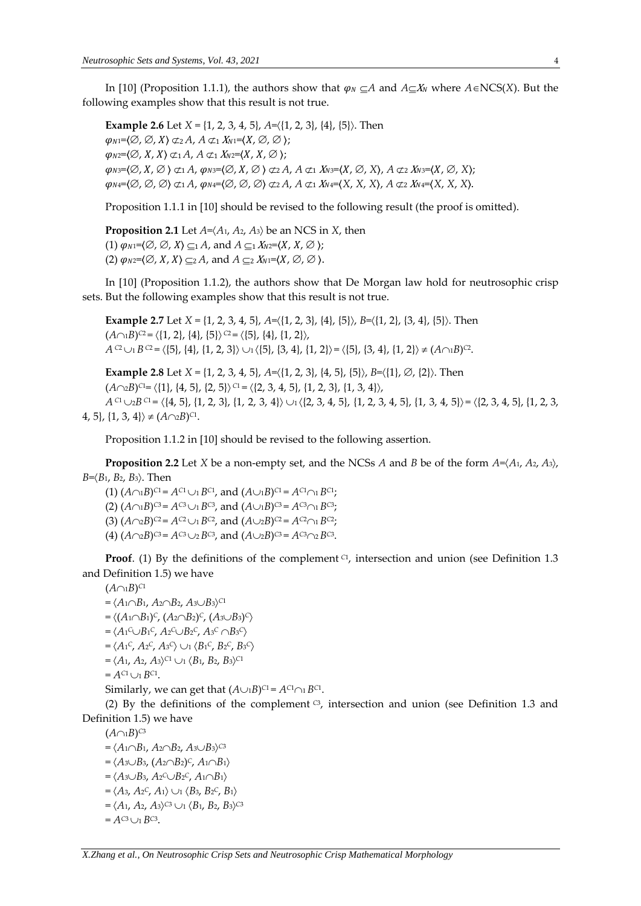In [10] (Proposition 1.1.1), the authors show that  $\varphi_N \subset A$  and  $A \subset X_N$  where  $A \in NCS(X)$ . But the following examples show that this result is not true.

**Example 2.6** Let *X* = {1, 2, 3, 4, 5},  $A = \{(1, 2, 3), \{(4\}, \{5\})\}$ . Then  $\varphi_{N1}=\langle\emptyset, \emptyset, X\rangle \not\subset_2 A, A \not\subset_1 X_{N1}=\langle X, \emptyset, \emptyset \rangle;$  $\varphi_{N2}=(\emptyset, X, X) \not\subset_1 A, A \not\subset_1 X_{N2}=(X, X, \emptyset);$  $\varphi_{N3}=(\emptyset, X, \emptyset) \subset A$ ,  $\varphi_{N3}=(\emptyset, X, \emptyset) \subset A$ ,  $A \subset A$ ,  $X_{N3}=(X, \emptyset, X)$ ,  $A \subset A$ ,  $X_{N3}=(X, \emptyset, X)$ ;  $\varphi_N = \langle \emptyset, \emptyset, \emptyset \rangle \nsubseteq_1 A$ ,  $\varphi_N = \langle \emptyset, \emptyset, \emptyset \rangle \nsubseteq_2 A$ ,  $A \nsubseteq_1 X_{N^4} = \langle X, X, X \rangle$ ,  $A \nsubseteq_2 X_{N^4} = \langle X, X, X \rangle$ .

Proposition 1.1.1 in [10] should be revised to the following result (the proof is omitted).

**Proposition 2.1** Let  $A = \langle A_1, A_2, A_3 \rangle$  be an NCS in *X*, then (1)  $\varphi_{N1}=\langle\emptyset, \emptyset, X\rangle \subseteq 1 A$ , and  $A \subseteq 1 X_{N2}=\langle X, X, \emptyset \rangle$ ; (2)  $\varphi_{N2}=\langle\emptyset, X, X\rangle \subseteq A$ , and  $A \subseteq \{X_{N1}=\langle X, \emptyset, \emptyset \rangle\}$ .

In [10] (Proposition 1.1.2), the authors show that De Morgan law hold for neutrosophic crisp sets. But the following examples show that this result is not true.

**Example 2.7** Let *X* = {1, 2, 3, 4, 5}, *A*={1, 2, 3}, {4}, {5}, *B*={1, 2}, {3, 4}, {5}. Then  $(A \cap B)^{C2} = \langle \{1, 2\}, \{4\}, \{5\} \rangle^{C2} = \langle \{5\}, \{4\}, \{1, 2\} \rangle$  $A^{C2} \cup_1 B^{C2} = \langle \{5\}, \{4\}, \{1, 2, 3\} \rangle \cup_1 \langle \{5\}, \{3, 4\}, \{1, 2\} \rangle = \langle \{5\}, \{3, 4\}, \{1, 2\} \rangle \neq (A \cap B)^{C2}.$ 

**Example 2.8** Let  $X = \{1, 2, 3, 4, 5\}$ ,  $A = \{\{1, 2, 3\}, \{4, 5\}, \{5\}\}$ ,  $B = \{\{1\}, \emptyset, \{2\}\}$ . Then  $(A \cap 2B)^{C1} = \langle \{1\}, \{4, 5\}, \{2, 5\} \rangle$ <sup>C1</sup> =  $\langle \{2, 3, 4, 5\}, \{1, 2, 3\}, \{1, 3, 4\} \rangle$ , *A* <sup>C1</sup>  $\cup$ <sub>2</sub>*B* <sup>C1</sup> =  $\langle \{4, 5\}, \{1, 2, 3\}, \{1, 2, 3, 4\} \rangle$   $\cup$ <sub>1</sub>  $\langle \{2, 3, 4, 5\}, \{1, 2, 3, 4, 5\}, \{1, 3, 4, 5\} \rangle$  =  $\langle \{2, 3, 4, 5\}, \{1, 2, 3, 4, 5\} \rangle$  $\{4, 5\}, \{1, 3, 4\} \neq (A \cap 2B)^{C1}.$ 

Proposition 1.1.2 in [10] should be revised to the following assertion.

**Proposition 2.2** Let *X* be a non-empty set, and the NCSs *A* and *B* be of the form  $A=\langle A_1, A_2, A_3 \rangle$ , *B*=*B*1, *B*2, *B*3. Then

 $(A \cap B)^{C1} = A^{C1} \cup B^{C1}$ , and  $(A \cup B)^{C1} = A^{C1} \cap B^{C1}$ ;  $(A \cap B)^{C3} = A^{C3} \cup B^{C3}$ , and  $(A \cup B)^{C3} = A^{C3} \cap B^{C3}$ ;  $(A \cap B)^{C2} = A^{C2} \cup B^{C2}$ , and  $(A \cup B)^{C2} = A^{C2} \cap B^{C2}$ ;  $(A) (A \cap B)^{C3} = A^{C3} \cup B^{C3}$ , and  $(A \cup B)^{C3} = A^{C3} \cap B^{C3}$ .

**Proof.** (1) By the definitions of the complement <sup>C1</sup>, intersection and union (see Definition 1.3 and Definition 1.5) we have

 $(A \cap B)^{C1}$ 

 $= \langle A_1 \cap B_1, A_2 \cap B_2, A_3 \cup B_3 \rangle$ <sup>C1</sup> = (*A*1*B*1) *<sup>C</sup>*, (*A*2*B*2) *<sup>C</sup>*, (*A*3*B*3) *C*  $= \langle A_1^C \cup B_1^C, A_2^C \cup B_2^C, A_3^C \cap B_3^C \rangle$  $= \langle A_1^C, A_2^C, A_3^C \rangle \cup_1 \langle B_1^C, B_2^C, B_3^C \rangle$ 

$$
= \langle A_1, A_2, A_3 \rangle^{C_1} \cup_1 \langle B_1, B_2, B_3 \rangle^{C_1}
$$

```
= A^{C1} \cup_1 B^{C1}.
```
Similarly, we can get that  $(A \cup B)^{C1} = A^{C1} \cap B^{C1}$ .

(2) By the definitions of the complement  $\mathcal{C}$ , intersection and union (see Definition 1.3 and Definition 1.5) we have

 $(A \cap B)^{C3}$ 

 $= \langle A_{1} \cap B_{1}, A_{2} \cap B_{2}, A_{3} \cup B_{3} \rangle$ <sup>C3</sup>

- $= \langle A_3 \cup B_3, (A_2 \cap B_2)^c, A_1 \cap B_1 \rangle$  $= \langle A_3 \cup B_3, A_2 \cup B_2 \cup B_1 \rangle$
- $= \langle A_3, A_2^C, A_1 \rangle \cup_1 \langle B_3, B_2^C, B_1 \rangle$
- $= \langle A_1, A_2, A_3 \rangle$ <sup>C3</sup>  $\cup_1 \langle B_1, B_2, B_3 \rangle$ <sup>C3</sup>
- $= A^{C3} \cup_1 B^{C3}.$

# *X.Zhang et al., On Neutrosophic Crisp Sets and Neutrosophic Crisp Mathematical Morphology*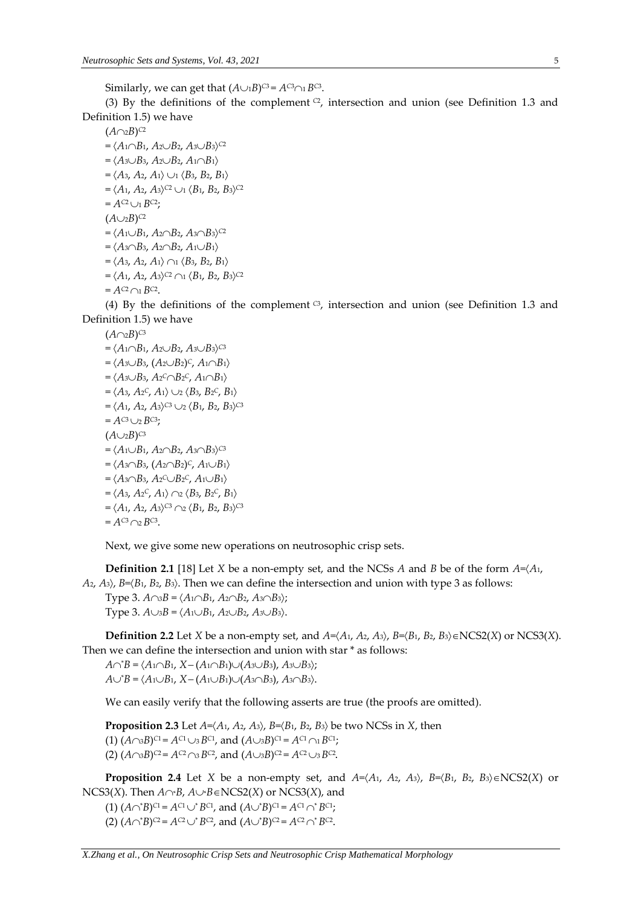Similarly, we can get that  $(A \cup B)^{C3} = A^{C3} \cap B^{C3}$ .

(3) By the definitions of the complement  $C<sub>2</sub>$ , intersection and union (see Definition 1.3 and Definition 1.5) we have

 $(A \cap 2B)^{C2}$ 

 $= \langle A_1 \cap B_1, A_2 \cup B_2, A_3 \cup B_3 \rangle$ <sup>C2</sup>  $= \langle A_3 \cup B_3, A_2 \cup B_2, A_1 \cap B_1 \rangle$  $=$   $\langle A_3, A_2, A_1 \rangle \cup \langle B_3, B_2, B_1 \rangle$  $= \langle A_1, A_2, A_3 \rangle^{C2} \cup_1 \langle B_1, B_2, B_3 \rangle^{C2}$  $= A^{C2} \cup_1 B^{C2}$ ;  $(A \cup_{2} B)^{C2}$  $= \langle A_1 \cup B_1, A_2 \cap B_2, A_3 \cap B_3 \rangle$ <sup>C2</sup>  $= \langle A_3 \cap B_3, A_2 \cap B_2, A_1 \cup B_1 \rangle$  $= \langle A_3, A_2, A_1 \rangle \cap \langle B_3, B_2, B_1 \rangle$  $= \langle A_1, A_2, A_3 \rangle^{C2} \cap 1 \langle B_1, B_2, B_3 \rangle^{C2}$  $= A^{C2} \cap B^{C2}$ .

(4) By the definitions of the complement  $G$ , intersection and union (see Definition 1.3 and Definition 1.5) we have

 $(A \cap 2B)^{C3}$  $= \langle A_1 \cap B_1, A_2 \cup B_2, A_3 \cup B_3 \rangle$ <sup>C3</sup>  $= \langle A_3 \cup B_3, (A_2 \cup B_2)^c, A_1 \cap B_1 \rangle$  $=$   $\langle A_3 \cup B_3, A_2 \cap B_2 \rangle$ ,  $A_1 \cap B_1 \rangle$  $= \langle A_3, A_2^c, A_1 \rangle \cup_2 \langle B_3, B_2^c, B_1 \rangle$  $= \langle A_1, A_2, A_3 \rangle$ <sup>C3</sup>  $\cup_2 \langle B_1, B_2, B_3 \rangle$ <sup>C3</sup>  $= A^{C3} \cup _2 B^{C3}$ ;  $(A \cup_{2} B)^{C3}$  $=$   $\langle A_1 \cup B_1, A_2 \cap B_2, A_3 \cap B_3 \rangle$ <sup>C3</sup>  $= \langle A_3 \cap B_3, (A_2 \cap B_2)^c, A_1 \cup B_1 \rangle$  $= \langle A_3 \cap B_3, A_2^c \cup B_2^c, A_1 \cup B_1 \rangle$  $= \langle A_3, A_2^c, A_1 \rangle \cap 2 \langle B_3, B_2^c, B_1 \rangle$  $= \langle A_1, A_2, A_3 \rangle$ <sup>C3</sup>  $\cap$ 2  $\langle B_1, B_2, B_3 \rangle$ <sup>C3</sup>  $= A^{C3} \cap 2 B^{C3}.$ 

Next, we give some new operations on neutrosophic crisp sets.

**Definition 2.1** [18] Let *X* be a non-empty set, and the NCSs *A* and *B* be of the form *A*=*A*1,  $A_2$ ,  $A_3$ ,  $B=\langle B_1, B_2, B_3 \rangle$ . Then we can define the intersection and union with type 3 as follows:

Type 3.  $A \cap B = \langle A_1 \cap B_1, A_2 \cap B_2, A_3 \cap B_3 \rangle$ ; Type 3.  $A \cup B = \langle A_1 \cup B_1, A_2 \cup B_2, A_3 \cup B_3 \rangle$ .

**Definition 2.2** Let *X* be a non-empty set, and  $A = \langle A_1, A_2, A_3 \rangle$ ,  $B = \langle B_1, B_2, B_3 \rangle \in \text{NCS2}(X)$  or  $\text{NCS3}(X)$ . Then we can define the intersection and union with star \* as follows:

 $A \cap B = \langle A_1 \cap B_1, X - (A_1 \cap B_1) \cup (A_3 \cup B_3), A_3 \cup B_3 \rangle;$  $A \cup B = \langle A_1 \cup B_1, X - (A_1 \cup B_1) \cup (A_3 \cap B_3), A_3 \cap B_3 \rangle.$ 

We can easily verify that the following asserts are true (the proofs are omitted).

**Proposition 2.3** Let  $A = \langle A_1, A_2, A_3 \rangle$ ,  $B = \langle B_1, B_2, B_3 \rangle$  be two NCSs in *X*, then  $(1)$   $(A \cap B)^{C1} = A^{C1} \cup B^{C1}$ , and  $(A \cup B)^{C1} = A^{C1} \cap B^{C1}$ ; (2)  $(A \cap B)^{C2} = A^{C2} \cap B^{C2}$ , and  $(A \cup B)^{C2} = A^{C2} \cup B^{C2}$ .

**Proposition 2.4** Let *X* be a non-empty set, and  $A = \langle A_1, A_2, A_3 \rangle$ ,  $B = \langle B_1, B_2, B_3 \rangle \in \text{NCS2}(X)$  or NCS3(*X*). Then  $A \cap B$ ,  $A \cup B \in NCS2(X)$  or NCS3(*X*), and

 $(A \cap B)^{C1} = A^{C1} \cup B^{C1}$ , and  $(A \cup B)^{C1} = A^{C1} \cap B^{C1}$ ;

(2)  $(A \cap B)^{C2} = A^{C2} \cup B^{C2}$ , and  $(A \cup B)^{C2} = A^{C2} \cap B^{C2}$ .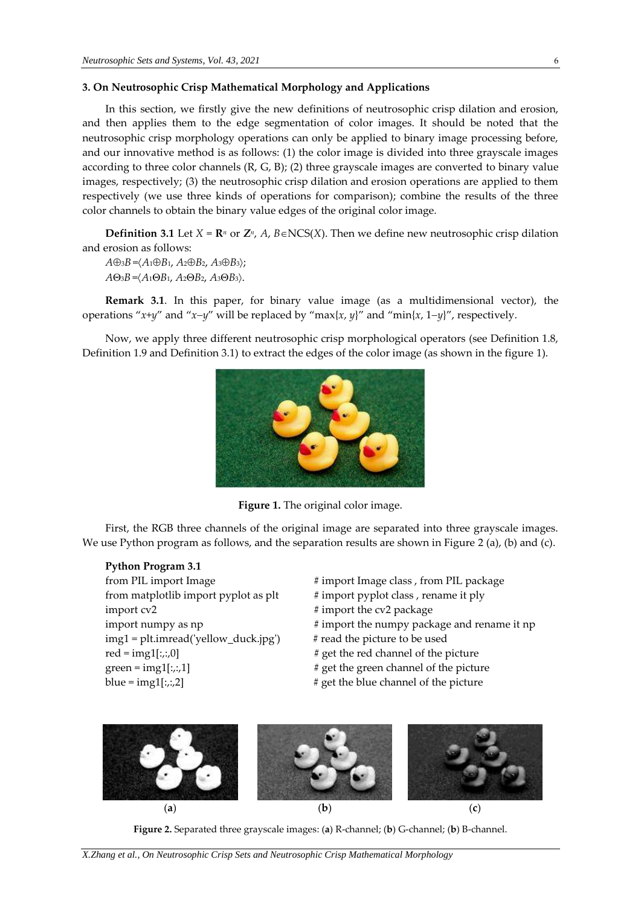## **3. On Neutrosophic Crisp Mathematical Morphology and Applications**

In this section, we firstly give the new definitions of neutrosophic crisp dilation and erosion, and then applies them to the edge segmentation of color images. It should be noted that the neutrosophic crisp morphology operations can only be applied to binary image processing before, and our innovative method is as follows: (1) the color image is divided into three grayscale images according to three color channels (R, G, B); (2) three grayscale images are converted to binary value images, respectively; (3) the neutrosophic crisp dilation and erosion operations are applied to them respectively (we use three kinds of operations for comparison); combine the results of the three color channels to obtain the binary value edges of the original color image.

**Definition** 3.1 Let  $X = \mathbb{R}^n$  or  $\mathbb{Z}^n$ ,  $A$ ,  $B \in NCS(X)$ . Then we define new neutrosophic crisp dilation and erosion as follows:

 $A \oplus B = \langle A_1 \oplus B_1, A_2 \oplus B_2, A_3 \oplus B_3 \rangle$ ; *A*3*B* =*A*1*B*1, *A*2*B*2, *A*3*B*3.

**Remark 3.1**. In this paper, for binary value image (as a multidimensional vector), the operations " $x+y$ " and " $x-y$ " will be replaced by " $\max\{x, y\}$ " and " $\min\{x, 1-y\}$ ", respectively.

Now, we apply three different neutrosophic crisp morphological operators (see Definition 1.8, Definition 1.9 and Definition 3.1) to extract the edges of the color image (as shown in the figure 1).



**Figure 1.** The original color image.

First, the RGB three channels of the original image are separated into three grayscale images. We use Python program as follows, and the separation results are shown in Figure 2 (a), (b) and (c).

## **Python Program 3.1**

from matplotlib import pyplot as plt  $\#$  import pyplot class, rename it ply import cv2  $\#$  import the cv2 package img1 = plt.imread('yellow\_duck.jpg') # read the picture to be used red = img1[:,:,0]  $\#$  get the red channel of the picture green =  $img1[:, 1]$  # get the green channel of the picture blue =  $img1[:, 2]$  # get the blue channel of the picture

from PIL import Image  $\qquad$  # import Image class , from PIL package

- 
- 
- import numpy as np  $\#$  import the numpy package and rename it np
	-
	-
	-
	-



**Figure 2.** Separated three grayscale images: (**a**) R-channel; (**b**) G-channel; (**b**) B-channel.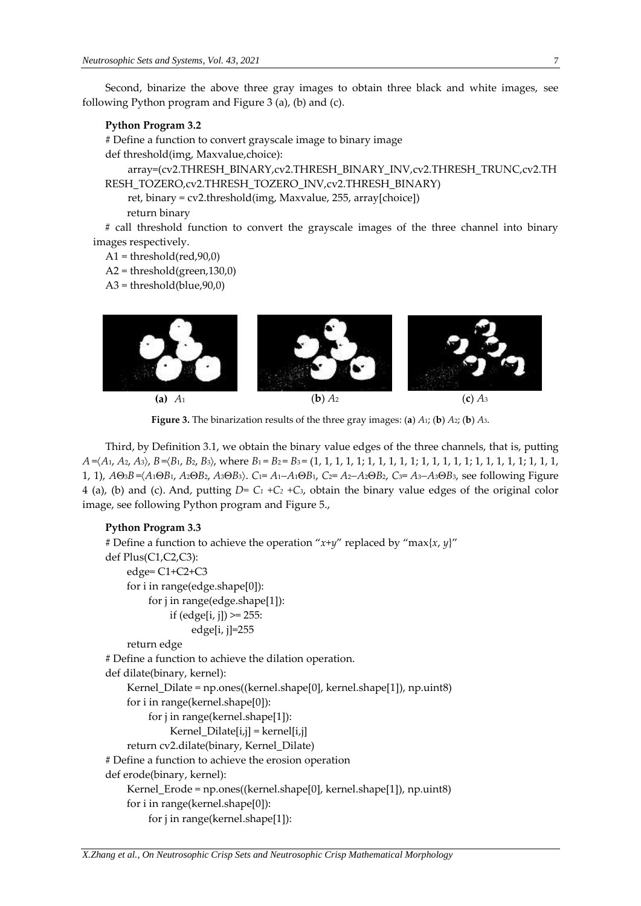Second, binarize the above three gray images to obtain three black and white images, see following Python program and Figure 3 (a), (b) and (c).

#### **Python Program 3.2**

# Define a function to convert grayscale image to binary image def threshold(img, Maxvalue,choice):

array=(cv2.THRESH\_BINARY,cv2.THRESH\_BINARY\_INV,cv2.THRESH\_TRUNC,cv2.TH RESH\_TOZERO,cv2.THRESH\_TOZERO\_INV,cv2.THRESH\_BINARY)

ret, binary = cv2.threshold(img, Maxvalue, 255, array[choice]) return binary

# call threshold function to convert the grayscale images of the three channel into binary images respectively.

 $A1 =$  threshold(red, 90,0)

 $A2 = threshold(green, 130, 0)$ 

 $A3 = threshold(blue, 90, 0)$ 



**Figure 3.** The binarization results of the three gray images: (**a**) *A*1; (**b**) *A*2; (**b**) *A*3.

Third, by Definition 3.1, we obtain the binary value edges of the three channels, that is, putting *A* =*A*1, *A*2, *A*3, *B*=*B*1, *B*2, *B*3, where *B*<sup>1</sup> = *B*<sup>2</sup> = *B*<sup>3</sup> = (1, 1, 1, 1, 1; 1, 1, 1, 1, 1; 1, 1, 1, 1, 1; 1, 1, 1, 1, 1; 1, 1, 1, 1, 1),  $A\Theta_3B = \langle A_1 \Theta B_1, A_2 \Theta B_2, A_3 \Theta B_3 \rangle$ . C<sub>1</sub>=  $A_1 - A_1 \Theta B_1$ , C<sub>2</sub>=  $A_2 - A_2 \Theta B_2$ , C<sub>3</sub>=  $A_3 - A_3 \Theta B_3$ , see following Figure 4 (a), (b) and (c). And, putting  $D = C_1 + C_2 + C_3$ , obtain the binary value edges of the original color image, see following Python program and Figure 5.,

## **Python Program 3.3**

```
# Define a function to achieve the operation "x+y" replaced by "max{x, y}"
def Plus(C1,C2,C3):
     edge= C1+C2+C3
     for i in range(edge.shape[0]):
          for j in range(edge.shape[1]):
              if \text{ (edge[i, j])} \geq 255:
                    edge[i, j]=255
     return edge
# Define a function to achieve the dilation operation.
def dilate(binary, kernel): 
     Kernel_Dilate = np.ones((kernel.shape[0], kernel.shape[1]), np.uint8)
     for i in range(kernel.shape[0]):
          for j in range(kernel.shape[1]):
               Kernel_Dilate[i,j] = kernel[i,j]
     return cv2.dilate(binary, Kernel_Dilate)
# Define a function to achieve the erosion operation
def erode(binary, kernel):
     Kernel_Erode = np.ones((kernel.shape[0], kernel.shape[1]), np.uint8)
     for i in range(kernel.shape[0]):
          for j in range(kernel.shape[1]):
```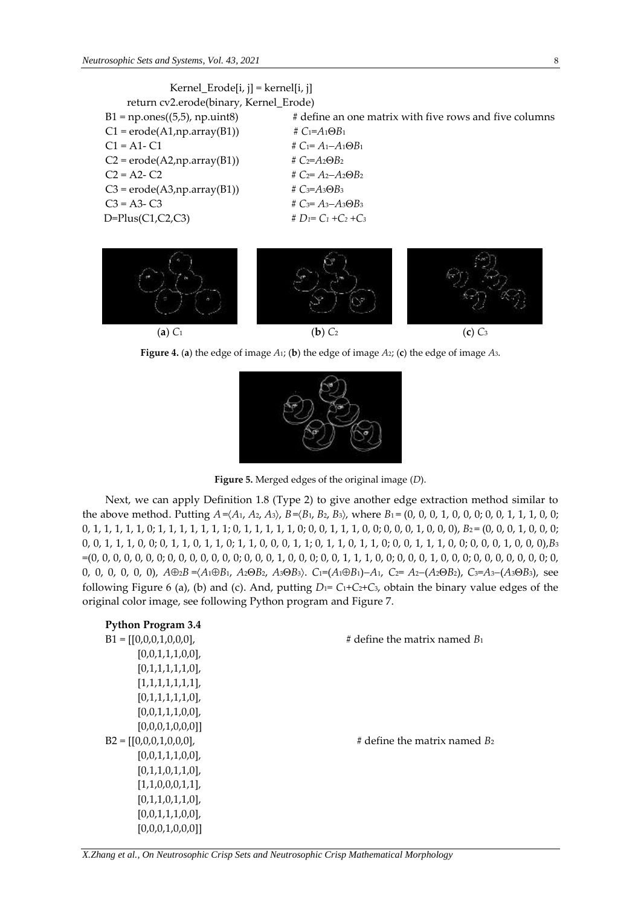



**Figure 4.** (**a**) the edge of image *A*1; (**b**) the edge of image *A*2; (**c**) the edge of image *A*3.



**Figure 5.** Merged edges of the original image (*D*).

Next, we can apply Definition 1.8 (Type 2) to give another edge extraction method similar to the above method. Putting  $A = (A_1, A_2, A_3)$ ,  $B = (B_1, B_2, B_3)$ , where  $B_1 = (0, 0, 0, 1, 0, 0, 0, 0, 0, 1, 1, 1, 0, 0;$ 0, 1, 1, 1, 1, 1, 0; 1, 1, 1, 1, 1, 1, 1, 1, 0, 1, 1, 1, 1, 0, 0, 0, 1, 1, 1, 0, 0, 0, 0, 0, 0, 0, 0, 0, 0, B<sub>2</sub> = (0, 0, 0, 1, 0, 0, 0; 0, 0, 1, 1, 1, 0, 0; 0, 1, 1, 0, 1, 1, 0; 1, 1, 0, 0, 0, 1, 1; 0, 1, 1, 0, 1, 1, 0; 0, 0, 1, 1, 1, 0, 0; 0, 0, 0, 1, 0, 0, 0),*B*<sup>3</sup> =(0, 0, 0, 0, 0, 0, 0; 0, 0, 0, 0, 0, 0, 0; 0, 0, 0, 1, 0, 0, 0; 0, 0, 1, 1, 1, 0, 0; 0, 0, 0, 1, 0, 0, 0; 0, 0, 0, 0, 0, 0, 0; 0, 0, 0, 0, 0, 0, 0),  $A\oplus 2B = (A_1 \oplus B_1, A_2 \oplus B_2, A_3 \oplus B_3)$ .  $C_1 = (A_1 \oplus B_1) - A_1$ ,  $C_2 = A_2 - (A_2 \oplus B_2)$ ,  $C_3 = A_3 - (A_3 \oplus B_3)$ , see following Figure 6 (a), (b) and (c). And, putting  $D_1 = C_1 + C_2 + C_3$ , obtain the binary value edges of the original color image, see following Python program and Figure 7.

| <b>Python Program 3.4</b> |                                    |
|---------------------------|------------------------------------|
| $B1 = [[0,0,0,1,0,0,0],$  | # define the matrix named $B_1$    |
| [0,0,1,1,1,0,0],          |                                    |
| [0,1,1,1,1,1,0],          |                                    |
| [1,1,1,1,1,1,1],          |                                    |
| [0,1,1,1,1,1,0],          |                                    |
| [0,0,1,1,1,0,0],          |                                    |
| [0,0,0,1,0,0,0]           |                                    |
| $B2 = [[0,0,0,1,0,0,0],$  | $\#$ define the matrix named $B_2$ |
| [0,0,1,1,1,0,0],          |                                    |
| [0,1,1,0,1,1,0],          |                                    |
| [1,1,0,0,0,1,1],          |                                    |
| [0,1,1,0,1,1,0],          |                                    |
| [0,0,1,1,1,0,0],          |                                    |
| [0,0,0,1,0,0,0]           |                                    |

*X.Zhang et al., On Neutrosophic Crisp Sets and Neutrosophic Crisp Mathematical Morphology*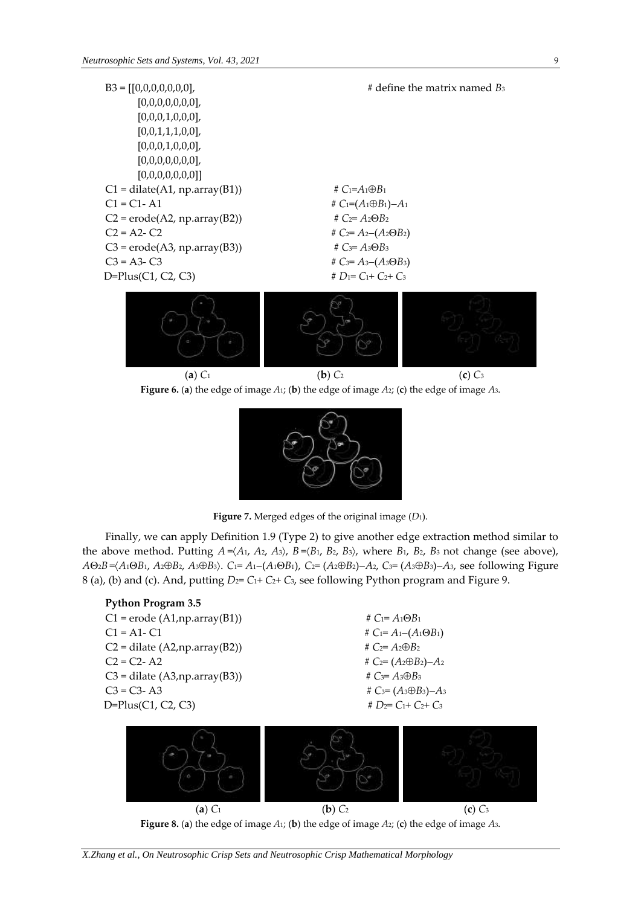







**Figure 7.** Merged edges of the original image (*D*1).

Finally, we can apply Definition 1.9 (Type 2) to give another edge extraction method similar to the above method. Putting  $A = \langle A_1, A_2, A_3 \rangle$ ,  $B = \langle B_1, B_2, B_3 \rangle$ , where  $B_1$ ,  $B_2$ ,  $B_3$  not change (see above),  $A\Theta_2B = (A_1\Theta B_1, A_2\Theta B_2, A_3\Theta B_3)$ . C<sub>1</sub>= A<sub>1</sub>-(A<sub>1</sub> $\Theta B_1$ ), C<sub>2</sub>= (A<sub>2</sub> $\Theta B_2$ )-A<sub>2</sub>, C<sub>3</sub>= (A<sub>3</sub> $\Theta B_3$ )-A<sub>3</sub>, see following Figure 8 (a), (b) and (c). And, putting  $D_2 = C_1 + C_2 + C_3$ , see following Python program and Figure 9.





*X.Zhang et al., On Neutrosophic Crisp Sets and Neutrosophic Crisp Mathematical Morphology*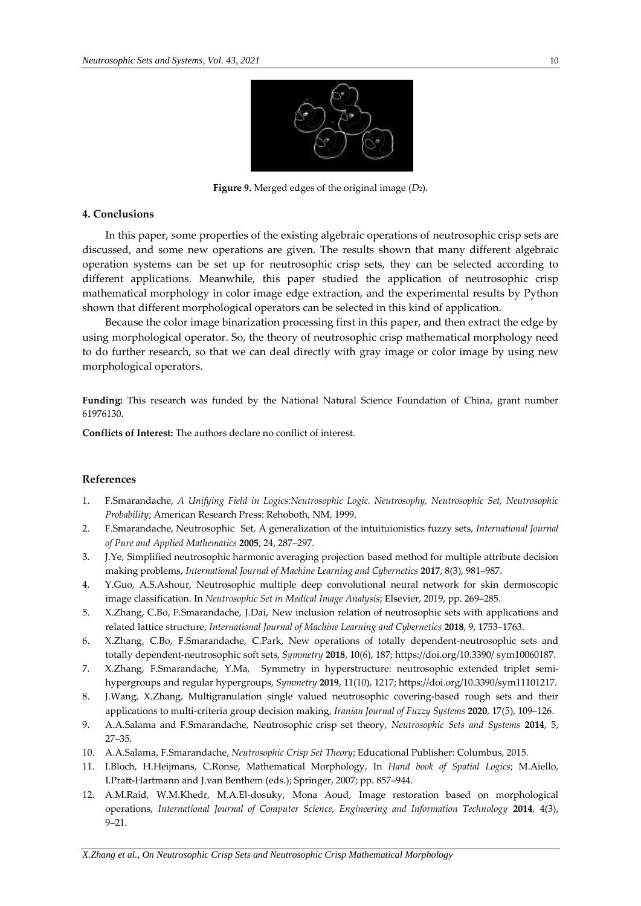

**Figure 9.** Merged edges of the original image (*D*2).

#### **4. Conclusions**

In this paper, some properties of the existing algebraic operations of neutrosophic crisp sets are discussed, and some new operations are given. The results shown that many different algebraic operation systems can be set up for neutrosophic crisp sets, they can be selected according to different applications. Meanwhile, this paper studied the application of neutrosophic crisp mathematical morphology in color image edge extraction, and the experimental results by Python shown that different morphological operators can be selected in this kind of application.

Because the color image binarization processing first in this paper, and then extract the edge by using morphological operator. So, the theory of neutrosophic crisp mathematical morphology need to do further research, so that we can deal directly with gray image or color image by using new morphological operators.

**Funding:** This research was funded by the National Natural Science Foundation of China, grant number 61976130.

**Conflicts of Interest:** The authors declare no conflict of interest.

### **References**

- 1. F.Smarandache, *A Unifying Field in Logics:Neutrosophic Logic. Neutrosophy, Neutrosophic Set, Neutrosophic Probability*; American Research Press: Rehoboth, NM, 1999.
- 2. F.Smarandache, Neutrosophic Set, A generalization of the intuituionistics fuzzy sets, *International Journal of Pure and Applied Mathematics* **2005**, 24, 287–297.
- 3. J.Ye, Simplified neutrosophic harmonic averaging projection based method for multiple attribute decision making problems, *International Journal of Machine Learning and Cybernetics* **2017**, 8(3), 981–987.
- 4. Y.Guo, A.S.Ashour, Neutrosophic multiple deep convolutional neural network for skin dermoscopic image classification. In *Neutrosophic Set in Medical Image Analysis*; Elsevier, 2019, pp. 269–285.
- 5. X.Zhang, C.Bo, F.Smarandache, J.Dai, New inclusion relation of neutrosophic sets with applications and related lattice structure, *International Journal of Machine Learning and Cybernetics* **2018**, 9, 1753–1763.
- 6. X.Zhang, C.Bo, F.Smarandache, C.Park, New operations of totally dependent-neutrosophic sets and totally dependent-neutrosophic soft sets, *Symmetry* **2018**, 10(6), 187; https://doi.org/10.3390/ sym10060187.
- 7. X.Zhang, F.Smarandache, Y.Ma, Symmetry in hyperstructure: neutrosophic extended triplet semihypergroups and regular hypergroups, *Symmetry* **2019**, 11(10), 1217; https://doi.org/10.3390/sym11101217.
- 8. J.Wang, X.Zhang, Multigranulation single valued neutrosophic covering-based rough sets and their applications to multi-criteria group decision making, *Iranian Journal of Fuzzy Systems* **2020**, 17(5), 109–126.
- 9. A.A.Salama and F.Smarandache, Neutrosophic crisp set theory, *Neutrosophic Sets and Systems* **2014**, 5, 27–35.
- 10. A.A.Salama, F.Smarandache, *Neutrosophic Crisp Set Theory*; Educational Publisher: Columbus, 2015.
- 11. I.Bloch, H.Heijmans, C.Ronse, Mathematical Morphology, In *Hand book of Spatial Logics*; M.Aiello, I.Pratt-Hartmann and J.van Benthem (eds.); Springer, 2007; pp. 857–944.
- 12. A.M.Raid, W.M.Khedr, M.A.El-dosuky, Mona Aoud, Image restoration based on morphological operations, *International Journal of Computer Science, Engineering and Information Technology* **2014**, 4(3), 9–21.